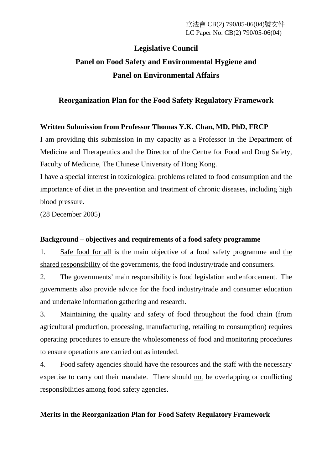# **Legislative Council Panel on Food Safety and Environmental Hygiene and Panel on Environmental Affairs**

## **Reorganization Plan for the Food Safety Regulatory Framework**

### **Written Submission from Professor Thomas Y.K. Chan, MD, PhD, FRCP**

I am providing this submission in my capacity as a Professor in the Department of Medicine and Therapeutics and the Director of the Centre for Food and Drug Safety, Faculty of Medicine, The Chinese University of Hong Kong.

I have a special interest in toxicological problems related to food consumption and the importance of diet in the prevention and treatment of chronic diseases, including high blood pressure.

(28 December 2005)

### **Background – objectives and requirements of a food safety programme**

1. Safe food for all is the main objective of a food safety programme and the shared responsibility of the governments, the food industry/trade and consumers.

2. The governments' main responsibility is food legislation and enforcement. The governments also provide advice for the food industry/trade and consumer education and undertake information gathering and research.

3. Maintaining the quality and safety of food throughout the food chain (from agricultural production, processing, manufacturing, retailing to consumption) requires operating procedures to ensure the wholesomeness of food and monitoring procedures to ensure operations are carried out as intended.

4. Food safety agencies should have the resources and the staff with the necessary expertise to carry out their mandate. There should not be overlapping or conflicting responsibilities among food safety agencies.

### **Merits in the Reorganization Plan for Food Safety Regulatory Framework**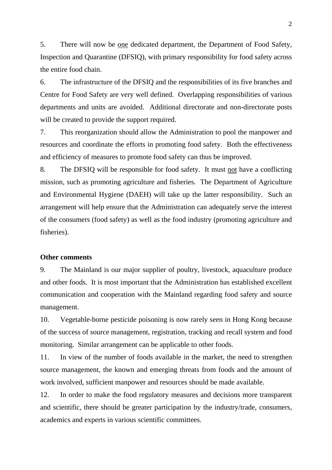5. There will now be one dedicated department, the Department of Food Safety, Inspection and Quarantine (DFSIQ), with primary responsibility for food safety across the entire food chain.

6. The infrastructure of the DFSIQ and the responsibilities of its five branches and Centre for Food Safety are very well defined. Overlapping responsibilities of various departments and units are avoided. Additional directorate and non-directorate posts will be created to provide the support required.

7. This reorganization should allow the Administration to pool the manpower and resources and coordinate the efforts in promoting food safety. Both the effectiveness and efficiency of measures to promote food safety can thus be improved.

8. The DFSIQ will be responsible for food safety. It must not have a conflicting mission, such as promoting agriculture and fisheries. The Department of Agriculture and Environmental Hygiene (DAEH) will take up the latter responsibility. Such an arrangement will help ensure that the Administration can adequately serve the interest of the consumers (food safety) as well as the food industry (promoting agriculture and fisheries).

#### **Other comments**

9. The Mainland is our major supplier of poultry, livestock, aquaculture produce and other foods. It is most important that the Administration has established excellent communication and cooperation with the Mainland regarding food safety and source management.

10. Vegetable-borne pesticide poisoning is now rarely seen in Hong Kong because of the success of source management, registration, tracking and recall system and food monitoring. Similar arrangement can be applicable to other foods.

11. In view of the number of foods available in the market, the need to strengthen source management, the known and emerging threats from foods and the amount of work involved, sufficient manpower and resources should be made available.

12. In order to make the food regulatory measures and decisions more transparent and scientific, there should be greater participation by the industry/trade, consumers, academics and experts in various scientific committees.